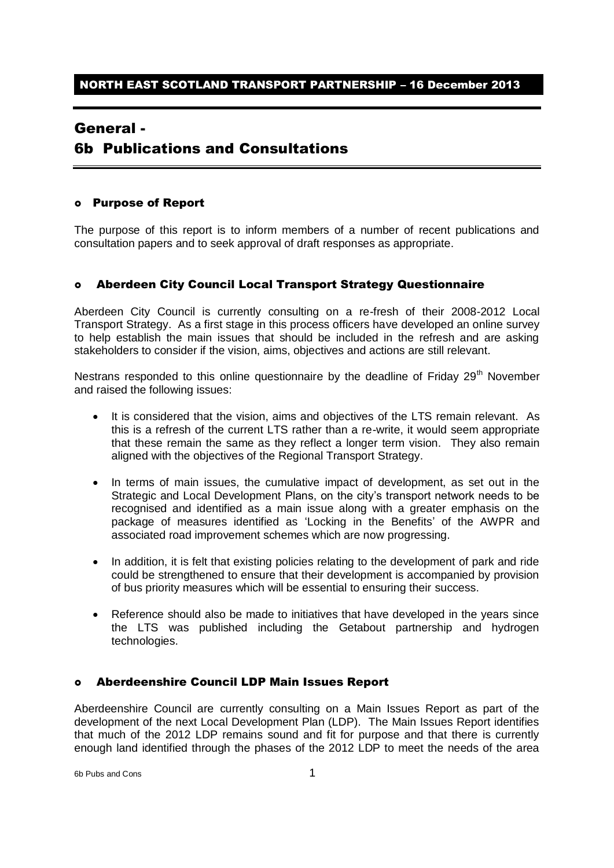## General -

# 6b Publications and Consultations

#### Purpose of Report

The purpose of this report is to inform members of a number of recent publications and consultation papers and to seek approval of draft responses as appropriate.

### Aberdeen City Council Local Transport Strategy Questionnaire

Aberdeen City Council is currently consulting on a re-fresh of their 2008-2012 Local Transport Strategy. As a first stage in this process officers have developed an online survey to help establish the main issues that should be included in the refresh and are asking stakeholders to consider if the vision, aims, objectives and actions are still relevant.

Nestrans responded to this online questionnaire by the deadline of Friday 29<sup>th</sup> November and raised the following issues:

- It is considered that the vision, aims and objectives of the LTS remain relevant. As this is a refresh of the current LTS rather than a re-write, it would seem appropriate that these remain the same as they reflect a longer term vision. They also remain aligned with the objectives of the Regional Transport Strategy.
- In terms of main issues, the cumulative impact of development, as set out in the Strategic and Local Development Plans, on the city's transport network needs to be recognised and identified as a main issue along with a greater emphasis on the package of measures identified as 'Locking in the Benefits' of the AWPR and associated road improvement schemes which are now progressing.
- In addition, it is felt that existing policies relating to the development of park and ride could be strengthened to ensure that their development is accompanied by provision of bus priority measures which will be essential to ensuring their success.
- Reference should also be made to initiatives that have developed in the years since the LTS was published including the Getabout partnership and hydrogen technologies.

### Aberdeenshire Council LDP Main Issues Report

Aberdeenshire Council are currently consulting on a Main Issues Report as part of the development of the next Local Development Plan (LDP). The Main Issues Report identifies that much of the 2012 LDP remains sound and fit for purpose and that there is currently enough land identified through the phases of the 2012 LDP to meet the needs of the area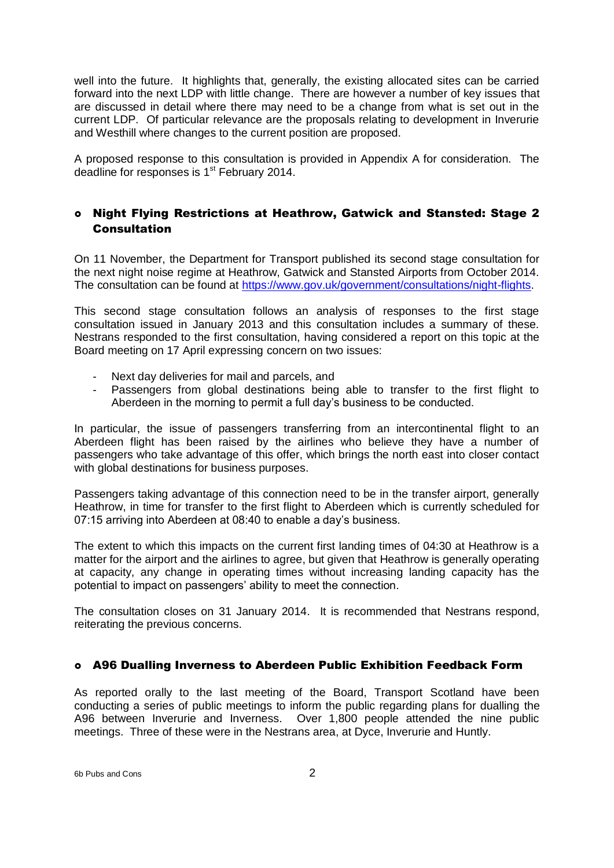well into the future. It highlights that, generally, the existing allocated sites can be carried forward into the next LDP with little change. There are however a number of key issues that are discussed in detail where there may need to be a change from what is set out in the current LDP. Of particular relevance are the proposals relating to development in Inverurie and Westhill where changes to the current position are proposed.

A proposed response to this consultation is provided in Appendix A for consideration. The deadline for responses is  $1<sup>st</sup>$  February 2014.

### Night Flying Restrictions at Heathrow, Gatwick and Stansted: Stage 2 **Consultation**

On 11 November, the Department for Transport published its second stage consultation for the next night noise regime at Heathrow, Gatwick and Stansted Airports from October 2014. The consultation can be found at [https://www.gov.uk/government/consultations/night-flights.](https://www.gov.uk/government/consultations/night-flights)

This second stage consultation follows an analysis of responses to the first stage consultation issued in January 2013 and this consultation includes a summary of these. Nestrans responded to the first consultation, having considered a report on this topic at the Board meeting on 17 April expressing concern on two issues:

- Next day deliveries for mail and parcels, and
- Passengers from global destinations being able to transfer to the first flight to Aberdeen in the morning to permit a full day's business to be conducted.

In particular, the issue of passengers transferring from an intercontinental flight to an Aberdeen flight has been raised by the airlines who believe they have a number of passengers who take advantage of this offer, which brings the north east into closer contact with global destinations for business purposes.

Passengers taking advantage of this connection need to be in the transfer airport, generally Heathrow, in time for transfer to the first flight to Aberdeen which is currently scheduled for 07:15 arriving into Aberdeen at 08:40 to enable a day's business.

The extent to which this impacts on the current first landing times of 04:30 at Heathrow is a matter for the airport and the airlines to agree, but given that Heathrow is generally operating at capacity, any change in operating times without increasing landing capacity has the potential to impact on passengers' ability to meet the connection.

The consultation closes on 31 January 2014. It is recommended that Nestrans respond, reiterating the previous concerns.

### A96 Dualling Inverness to Aberdeen Public Exhibition Feedback Form

As reported orally to the last meeting of the Board, Transport Scotland have been conducting a series of public meetings to inform the public regarding plans for dualling the A96 between Inverurie and Inverness. Over 1,800 people attended the nine public meetings. Three of these were in the Nestrans area, at Dyce, Inverurie and Huntly.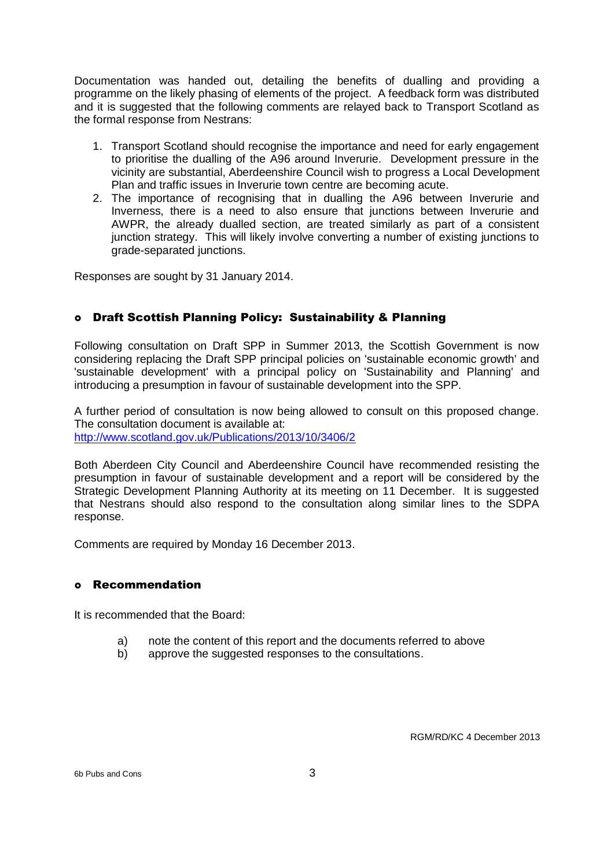Documentation was handed out, detailing the benefits of dualling and providing a programme on the likely phasing of elements of the project. A feedback form was distributed and it is suggested that the following comments are relayed back to Transport Scotland as the formal response from Nestrans:

- 1. Transport Scotland should recognise the importance and need for early engagement to prioritise the dualling of the A96 around Inverurie. Development pressure in the vicinity are substantial, Aberdeenshire Council wish to progress a Local Development Plan and traffic issues in Inverurie town centre are becoming acute.
- 2. The importance of recognising that in dualling the A96 between Inverurie and Inverness, there is a need to also ensure that junctions between Inverurie and AWPR, the already dualled section, are treated similarly as part of a consistent junction strategy. This will likely involve converting a number of existing junctions to grade-separated junctions.

Responses are sought by 31 January 2014.

### Draft Scottish Planning Policy: Sustainability & Planning

Following consultation on Draft SPP in Summer 2013, the Scottish Government is now considering replacing the Draft SPP principal policies on 'sustainable economic growth' and 'sustainable development' with a principal policy on 'Sustainability and Planning' and introducing a presumption in favour of sustainable development into the SPP.

A further period of consultation is now being allowed to consult on this proposed change. The consultation document is available at: <http://www.scotland.gov.uk/Publications/2013/10/3406/2>

Both Aberdeen City Council and Aberdeenshire Council have recommended resisting the presumption in favour of sustainable development and a report will be considered by the Strategic Development Planning Authority at its meeting on 11 December. It is suggested that Nestrans should also respond to the consultation along similar lines to the SDPA response.

Comments are required by Monday 16 December 2013.

### Recommendation

It is recommended that the Board:

- a) note the content of this report and the documents referred to above
- b) approve the suggested responses to the consultations.

RGM/RD/KC 4 December 2013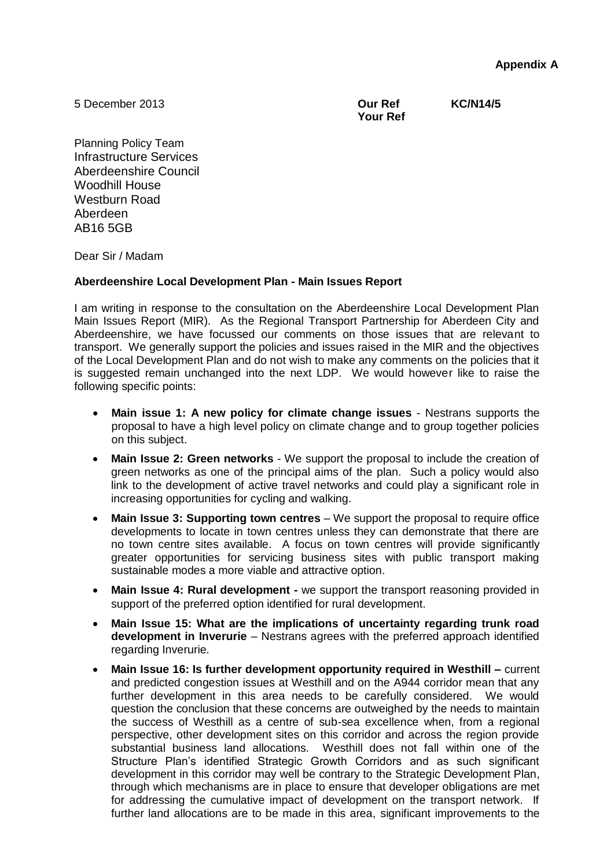**Appendix A**

5 December 2013

**Our Ref KC/N14/5 Your Ref** 

Planning Policy Team Infrastructure Services Aberdeenshire Council Woodhill House Westburn Road Aberdeen AB16 5GB

Dear Sir / Madam

### **Aberdeenshire Local Development Plan - Main Issues Report**

I am writing in response to the consultation on the Aberdeenshire Local Development Plan Main Issues Report (MIR). As the Regional Transport Partnership for Aberdeen City and Aberdeenshire, we have focussed our comments on those issues that are relevant to transport. We generally support the policies and issues raised in the MIR and the objectives of the Local Development Plan and do not wish to make any comments on the policies that it is suggested remain unchanged into the next LDP. We would however like to raise the following specific points:

- **Main issue 1: A new policy for climate change issues** Nestrans supports the proposal to have a high level policy on climate change and to group together policies on this subject.
- **Main Issue 2: Green networks** We support the proposal to include the creation of green networks as one of the principal aims of the plan. Such a policy would also link to the development of active travel networks and could play a significant role in increasing opportunities for cycling and walking.
- **Main Issue 3: Supporting town centres** We support the proposal to require office developments to locate in town centres unless they can demonstrate that there are no town centre sites available. A focus on town centres will provide significantly greater opportunities for servicing business sites with public transport making sustainable modes a more viable and attractive option.
- **Main Issue 4: Rural development -** we support the transport reasoning provided in support of the preferred option identified for rural development.
- **Main Issue 15: What are the implications of uncertainty regarding trunk road development in Inverurie** – Nestrans agrees with the preferred approach identified regarding Inverurie.
- **Main Issue 16: Is further development opportunity required in Westhill –** current and predicted congestion issues at Westhill and on the A944 corridor mean that any further development in this area needs to be carefully considered. We would question the conclusion that these concerns are outweighed by the needs to maintain the success of Westhill as a centre of sub-sea excellence when, from a regional perspective, other development sites on this corridor and across the region provide substantial business land allocations. Westhill does not fall within one of the Structure Plan's identified Strategic Growth Corridors and as such significant development in this corridor may well be contrary to the Strategic Development Plan, through which mechanisms are in place to ensure that developer obligations are met for addressing the cumulative impact of development on the transport network. If further land allocations are to be made in this area, significant improvements to the